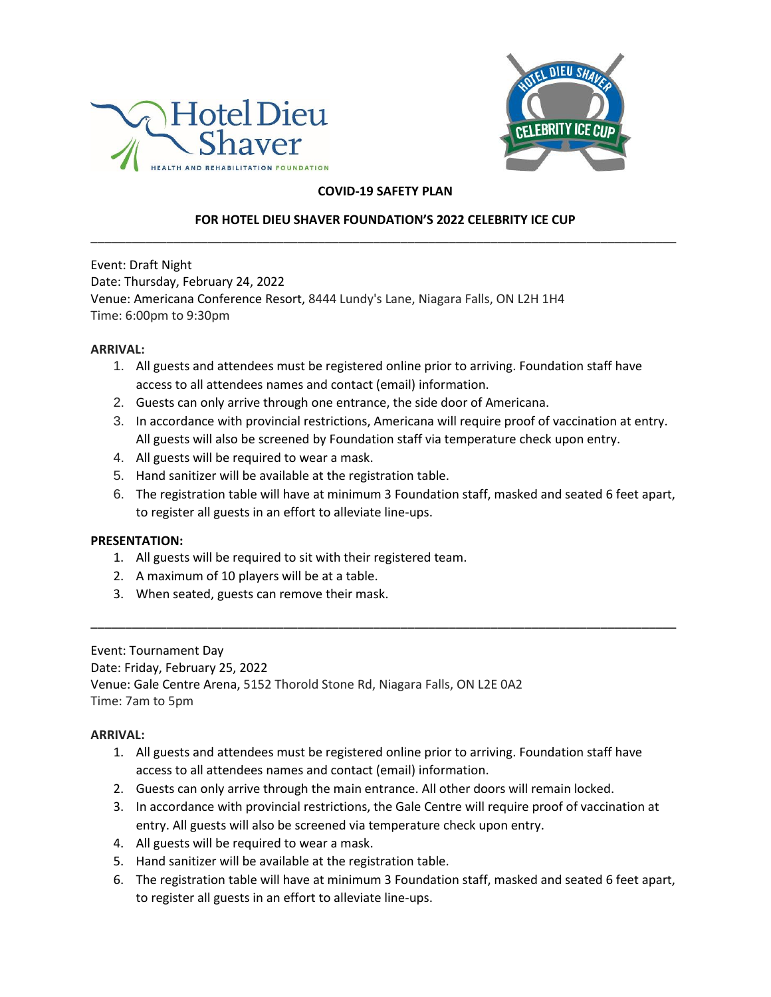



## **COVID-19 SAFETY PLAN**

# **FOR HOTEL DIEU SHAVER FOUNDATION'S 2022 CELEBRITY ICE CUP** \_\_\_\_\_\_\_\_\_\_\_\_\_\_\_\_\_\_\_\_\_\_\_\_\_\_\_\_\_\_\_\_\_\_\_\_\_\_\_\_\_\_\_\_\_\_\_\_\_\_\_\_\_\_\_\_\_\_\_\_\_\_\_\_\_\_\_\_\_\_\_\_\_\_\_\_\_\_\_\_\_\_\_\_\_

Event: Draft Night Date: Thursday, February 24, 2022 Venue: Americana Conference Resort, 8444 Lundy's Lane, Niagara Falls, ON L2H 1H4 Time: 6:00pm to 9:30pm

#### **ARRIVAL:**

- 1. All guests and attendees must be registered online prior to arriving. Foundation staff have access to all attendees names and contact (email) information.
- 2. Guests can only arrive through one entrance, the side door of Americana.
- 3. In accordance with provincial restrictions, Americana will require proof of vaccination at entry. All guests will also be screened by Foundation staff via temperature check upon entry.
- 4. All guests will be required to wear a mask.
- 5. Hand sanitizer will be available at the registration table.
- 6. The registration table will have at minimum 3 Foundation staff, masked and seated 6 feet apart, to register all guests in an effort to alleviate line-ups.

### **PRESENTATION:**

- 1. All guests will be required to sit with their registered team.
- 2. A maximum of 10 players will be at a table.
- 3. When seated, guests can remove their mask.

Event: Tournament Day Date: Friday, February 25, 2022 Venue: Gale Centre Arena, 5152 Thorold Stone Rd, Niagara Falls, ON L2E 0A2 Time: 7am to 5pm

### **ARRIVAL:**

1. All guests and attendees must be registered online prior to arriving. Foundation staff have access to all attendees names and contact (email) information.

\_\_\_\_\_\_\_\_\_\_\_\_\_\_\_\_\_\_\_\_\_\_\_\_\_\_\_\_\_\_\_\_\_\_\_\_\_\_\_\_\_\_\_\_\_\_\_\_\_\_\_\_\_\_\_\_\_\_\_\_\_\_\_\_\_\_\_\_\_\_\_\_\_\_\_\_\_\_\_\_\_\_\_\_\_

- 2. Guests can only arrive through the main entrance. All other doors will remain locked.
- 3. In accordance with provincial restrictions, the Gale Centre will require proof of vaccination at entry. All guests will also be screened via temperature check upon entry.
- 4. All guests will be required to wear a mask.
- 5. Hand sanitizer will be available at the registration table.
- 6. The registration table will have at minimum 3 Foundation staff, masked and seated 6 feet apart, to register all guests in an effort to alleviate line-ups.